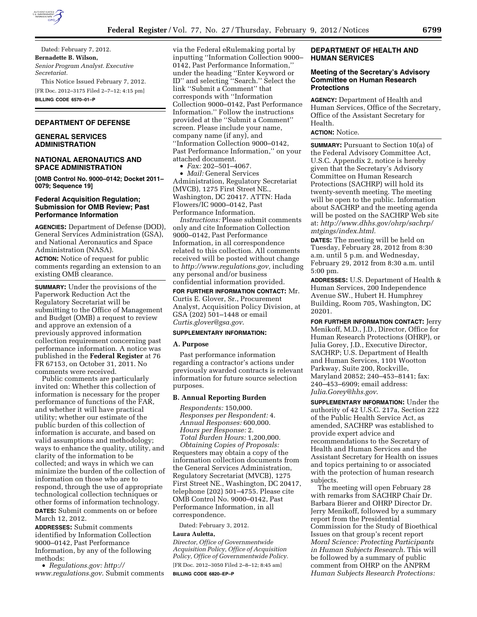

Dated: February 7, 2012. **Bernadette B. Wilson,**  *Senior Program Analyst. Executive Secretariat.*  This Notice Issued February 7, 2012.

[FR Doc. 2012–3175 Filed 2–7–12; 4:15 pm] **BILLING CODE 6570–01–P** 

### **DEPARTMENT OF DEFENSE**

## **GENERAL SERVICES ADMINISTRATION**

### **NATIONAL AERONAUTICS AND SPACE ADMINISTRATION**

**[OMB Control No. 9000–0142; Docket 2011– 0079; Sequence 19]** 

## **Federal Acquisition Regulation; Submission for OMB Review; Past Performance Information**

**AGENCIES:** Department of Defense (DOD), General Services Administration (GSA), and National Aeronautics and Space Administration (NASA).

**ACTION:** Notice of request for public comments regarding an extension to an existing OMB clearance.

**SUMMARY:** Under the provisions of the Paperwork Reduction Act the Regulatory Secretariat will be submitting to the Office of Management and Budget (OMB) a request to review and approve an extension of a previously approved information collection requirement concerning past performance information. A notice was published in the **Federal Register** at 76 FR 67153, on October 31, 2011. No comments were received.

Public comments are particularly invited on: Whether this collection of information is necessary for the proper performance of functions of the FAR, and whether it will have practical utility; whether our estimate of the public burden of this collection of information is accurate, and based on valid assumptions and methodology; ways to enhance the quality, utility, and clarity of the information to be collected; and ways in which we can minimize the burden of the collection of information on those who are to respond, through the use of appropriate technological collection techniques or other forms of information technology. **DATES:** Submit comments on or before March 12, 2012.

**ADDRESSES:** Submit comments identified by Information Collection 9000–0142, Past Performance Information, by any of the following methods:

• *Regulations.gov: [http://](http://www.regulations.gov)  [www.regulations.gov](http://www.regulations.gov)*. Submit comments via the Federal eRulemaking portal by inputting ''Information Collection 9000– 0142, Past Performance Information,'' under the heading ''Enter Keyword or ID'' and selecting ''Search.'' Select the link ''Submit a Comment'' that corresponds with ''Information Collection 9000–0142, Past Performance Information.'' Follow the instructions provided at the ''Submit a Comment'' screen. Please include your name, company name (if any), and ''Information Collection 9000–0142, Past Performance Information,'' on your attached document.

• *Fax:* 202–501–4067.

• *Mail:* General Services Administration, Regulatory Secretariat (MVCB), 1275 First Street NE., Washington, DC 20417. ATTN: Hada Flowers/IC 9000–0142, Past Performance Information.

*Instructions:* Please submit comments only and cite Information Collection 9000–0142, Past Performance Information, in all correspondence related to this collection. All comments received will be posted without change to *[http://www.regulations.gov,](http://www.regulations.gov)* including any personal and/or business confidential information provided.

**FOR FURTHER INFORMATION CONTACT:** Mr. Curtis E. Glover, Sr., Procurement Analyst, Acquisition Policy Division, at GSA (202) 501–1448 or email *[Curtis.glover@gsa.gov](mailto:Curtis.glover@gsa.gov)*.

### **SUPPLEMENTARY INFORMATION:**

### **A. Purpose**

Past performance information regarding a contractor's actions under previously awarded contracts is relevant information for future source selection purposes.

### **B. Annual Reporting Burden**

*Respondents:* 150,000. *Responses per Respondent:* 4. *Annual Responses:* 600,000. *Hours per Response:* 2. *Total Burden Hours:* 1,200,000. *Obtaining Copies of Proposals:*  Requesters may obtain a copy of the information collection documents from the General Services Administration, Regulatory Secretariat (MVCB), 1275 First Street NE., Washington, DC 20417, telephone (202) 501–4755. Please cite OMB Control No. 9000–0142, Past Performance Information, in all correspondence.

Dated: February 3, 2012.

#### **Laura Auletta,**

*Director, Office of Governmentwide Acquisition Policy, Office of Acquisition Policy, Office of Governmentwide Policy.*  [FR Doc. 2012–3050 Filed 2–8–12; 8:45 am] **BILLING CODE 6820–EP–P** 

## **DEPARTMENT OF HEALTH AND HUMAN SERVICES**

## **Meeting of the Secretary's Advisory Committee on Human Research Protections**

**AGENCY:** Department of Health and Human Services, Office of the Secretary, Office of the Assistant Secretary for Health.

# **ACTION:** Notice.

**SUMMARY:** Pursuant to Section 10(a) of the Federal Advisory Committee Act, U.S.C. Appendix 2, notice is hereby given that the Secretary's Advisory Committee on Human Research Protections (SACHRP) will hold its twenty-seventh meeting. The meeting will be open to the public. Information about SACHRP and the meeting agenda will be posted on the SACHRP Web site at: *[http://www.dhhs.gov/ohrp/sachrp/](http://www.dhhs.gov/ohrp/sachrp/mtgings/index.html) [mtgings/index.html.](http://www.dhhs.gov/ohrp/sachrp/mtgings/index.html)* 

**DATES:** The meeting will be held on Tuesday, February 28, 2012 from 8:30 a.m. until 5 p.m. and Wednesday, February 29, 2012 from 8:30 a.m. until 5:00 pm.

**ADDRESSES:** U.S. Department of Health & Human Services, 200 Independence Avenue SW., Hubert H. Humphrey Building, Room 705, Washington, DC 20201.

**FOR FURTHER INFORMATION CONTACT:** Jerry Menikoff, M.D., J.D., Director, Office for Human Research Protections (OHRP), or Julia Gorey, J.D., Executive Director, SACHRP; U.S. Department of Health and Human Services, 1101 Wootton Parkway, Suite 200, Rockville, Maryland 20852; 240–453–8141; fax: 240–453–6909; email address: *[Julia.Gorey@hhs.gov](mailto:Julia.Gorey@hhs.gov)*.

**SUPPLEMENTARY INFORMATION:** Under the authority of 42 U.S.C. 217a, Section 222 of the Public Health Service Act, as amended, SACHRP was established to provide expert advice and recommendations to the Secretary of Health and Human Services and the Assistant Secretary for Health on issues and topics pertaining to or associated with the protection of human research subjects.

The meeting will open February 28 with remarks from SACHRP Chair Dr. Barbara Bierer and OHRP Director Dr. Jerry Menikoff, followed by a summary report from the Presidential Commission for the Study of Bioethical Issues on that group's recent report *Moral Science: Protecting Participants in Human Subjects Research.* This will be followed by a summary of public comment from OHRP on the ANPRM *Human Subjects Research Protections:*